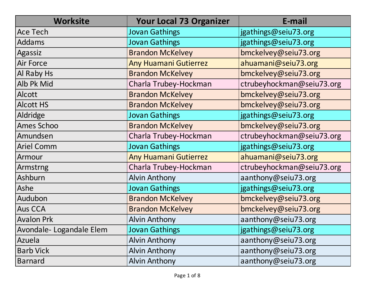| <b>Worksite</b>         | <b>Your Local 73 Organizer</b> | E-mail                    |
|-------------------------|--------------------------------|---------------------------|
| <b>Ace Tech</b>         | <b>Jovan Gathings</b>          | jgathings@seiu73.org      |
| Addams                  | <b>Jovan Gathings</b>          | jgathings@seiu73.org      |
| Agassiz                 | <b>Brandon McKelvey</b>        | bmckelvey@seiu73.org      |
| <b>Air Force</b>        | <b>Any Huamani Gutierrez</b>   | ahuamani@seiu73.org       |
| Al Raby Hs              | <b>Brandon McKelvey</b>        | bmckelvey@seiu73.org      |
| Alb Pk Mid              | Charla Trubey-Hockman          | ctrubeyhockman@seiu73.org |
| <b>Alcott</b>           | <b>Brandon McKelvey</b>        | bmckelvey@seiu73.org      |
| <b>Alcott HS</b>        | <b>Brandon McKelvey</b>        | bmckelvey@seiu73.org      |
| Aldridge                | <b>Jovan Gathings</b>          | jgathings@seiu73.org      |
| <b>Ames Schoo</b>       | <b>Brandon McKelvey</b>        | bmckelvey@seiu73.org      |
| Amundsen                | Charla Trubey-Hockman          | ctrubeyhockman@seiu73.org |
| <b>Ariel Comm</b>       | <b>Jovan Gathings</b>          | jgathings@seiu73.org      |
| Armour                  | <b>Any Huamani Gutierrez</b>   | ahuamani@seiu73.org       |
| Armstrng                | Charla Trubey-Hockman          | ctrubeyhockman@seiu73.org |
| Ashburn                 | <b>Alvin Anthony</b>           | aanthony@seiu73.org       |
| Ashe                    | <b>Jovan Gathings</b>          | jgathings@seiu73.org      |
| Audubon                 | <b>Brandon McKelvey</b>        | bmckelvey@seiu73.org      |
| <b>Aus CCA</b>          | <b>Brandon McKelvey</b>        | bmckelvey@seiu73.org      |
| <b>Avalon Prk</b>       | <b>Alvin Anthony</b>           | aanthony@seiu73.org       |
| Avondale-Logandale Elem | <b>Jovan Gathings</b>          | jgathings@seiu73.org      |
| Azuela                  | <b>Alvin Anthony</b>           | aanthony@seiu73.org       |
| <b>Barb Vick</b>        | <b>Alvin Anthony</b>           | aanthony@seiu73.org       |
| <b>Barnard</b>          | <b>Alvin Anthony</b>           | aanthony@seiu73.org       |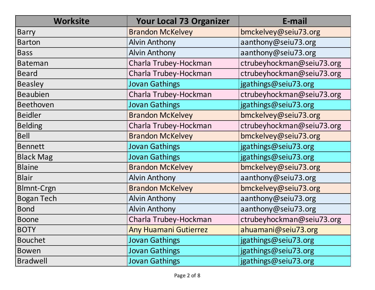| <b>Worksite</b>   | <b>Your Local 73 Organizer</b> | E-mail                    |
|-------------------|--------------------------------|---------------------------|
| <b>Barry</b>      | <b>Brandon McKelvey</b>        | bmckelvey@seiu73.org      |
| <b>Barton</b>     | <b>Alvin Anthony</b>           | aanthony@seiu73.org       |
| <b>Bass</b>       | <b>Alvin Anthony</b>           | aanthony@seiu73.org       |
| <b>Bateman</b>    | Charla Trubey-Hockman          | ctrubeyhockman@seiu73.org |
| <b>Beard</b>      | Charla Trubey-Hockman          | ctrubeyhockman@seiu73.org |
| <b>Beasley</b>    | <b>Jovan Gathings</b>          | jgathings@seiu73.org      |
| <b>Beaubien</b>   | Charla Trubey-Hockman          | ctrubeyhockman@seiu73.org |
| Beethoven         | <b>Jovan Gathings</b>          | jgathings@seiu73.org      |
| <b>Beidler</b>    | <b>Brandon McKelvey</b>        | bmckelvey@seiu73.org      |
| <b>Belding</b>    | Charla Trubey-Hockman          | ctrubeyhockman@seiu73.org |
| <b>Bell</b>       | <b>Brandon McKelvey</b>        | bmckelvey@seiu73.org      |
| <b>Bennett</b>    | <b>Jovan Gathings</b>          | jgathings@seiu73.org      |
| <b>Black Mag</b>  | <b>Jovan Gathings</b>          | jgathings@seiu73.org      |
| <b>Blaine</b>     | <b>Brandon McKelvey</b>        | bmckelvey@seiu73.org      |
| <b>Blair</b>      | <b>Alvin Anthony</b>           | aanthony@seiu73.org       |
| <b>Blmnt-Crgn</b> | <b>Brandon McKelvey</b>        | bmckelvey@seiu73.org      |
| <b>Bogan Tech</b> | <b>Alvin Anthony</b>           | aanthony@seiu73.org       |
| <b>Bond</b>       | <b>Alvin Anthony</b>           | aanthony@seiu73.org       |
| <b>Boone</b>      | Charla Trubey-Hockman          | ctrubeyhockman@seiu73.org |
| <b>BOTY</b>       | <b>Any Huamani Gutierrez</b>   | ahuamani@seiu73.org       |
| <b>Bouchet</b>    | Jovan Gathings                 | jgathings@seiu73.org      |
| <b>Bowen</b>      | <b>Jovan Gathings</b>          | jgathings@seiu73.org      |
| <b>Bradwell</b>   | <b>Jovan Gathings</b>          | jgathings@seiu73.org      |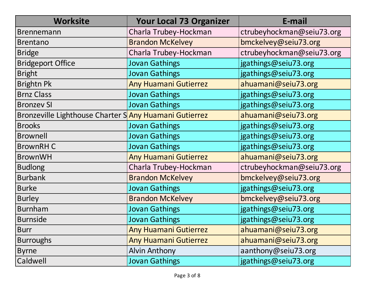| <b>Worksite</b>                                       | <b>Your Local 73 Organizer</b> | E-mail                    |
|-------------------------------------------------------|--------------------------------|---------------------------|
| <b>Brennemann</b>                                     | Charla Trubey-Hockman          | ctrubeyhockman@seiu73.org |
| <b>Brentano</b>                                       | <b>Brandon McKelvey</b>        | bmckelvey@seiu73.org      |
| <b>Bridge</b>                                         | Charla Trubey-Hockman          | ctrubeyhockman@seiu73.org |
| <b>Bridgeport Office</b>                              | <b>Jovan Gathings</b>          | jgathings@seiu73.org      |
| <b>Bright</b>                                         | <b>Jovan Gathings</b>          | jgathings@seiu73.org      |
| <b>Brightn Pk</b>                                     | <b>Any Huamani Gutierrez</b>   | ahuamani@seiu73.org       |
| <b>Brnz Class</b>                                     | <b>Jovan Gathings</b>          | jgathings@seiu73.org      |
| <b>Bronzev SI</b>                                     | <b>Jovan Gathings</b>          | jgathings@seiu73.org      |
| Bronzeville Lighthouse Charter SAny Huamani Gutierrez |                                | ahuamani@seiu73.org       |
| <b>Brooks</b>                                         | Jovan Gathings                 | jgathings@seiu73.org      |
| <b>Brownell</b>                                       | <b>Jovan Gathings</b>          | jgathings@seiu73.org      |
| <b>BrownRHC</b>                                       | <b>Jovan Gathings</b>          | jgathings@seiu73.org      |
| <b>BrownWH</b>                                        | <b>Any Huamani Gutierrez</b>   | ahuamani@seiu73.org       |
| <b>Budlong</b>                                        | Charla Trubey-Hockman          | ctrubeyhockman@seiu73.org |
| <b>Burbank</b>                                        | <b>Brandon McKelvey</b>        | bmckelvey@seiu73.org      |
| <b>Burke</b>                                          | <b>Jovan Gathings</b>          | jgathings@seiu73.org      |
| <b>Burley</b>                                         | <b>Brandon McKelvey</b>        | bmckelvey@seiu73.org      |
| <b>Burnham</b>                                        | <b>Jovan Gathings</b>          | jgathings@seiu73.org      |
| <b>Burnside</b>                                       | <b>Jovan Gathings</b>          | jgathings@seiu73.org      |
| <b>Burr</b>                                           | <b>Any Huamani Gutierrez</b>   | ahuamani@seiu73.org       |
| <b>Burroughs</b>                                      | <b>Any Huamani Gutierrez</b>   | ahuamani@seiu73.org       |
| <b>Byrne</b>                                          | <b>Alvin Anthony</b>           | aanthony@seiu73.org       |
| Caldwell                                              | <b>Jovan Gathings</b>          | jgathings@seiu73.org      |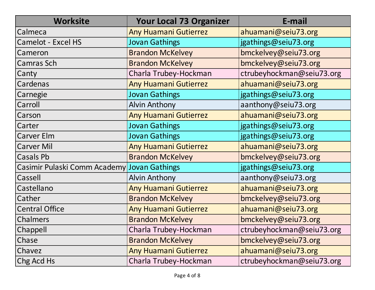| <b>Worksite</b>                             | <b>Your Local 73 Organizer</b> | E-mail                    |
|---------------------------------------------|--------------------------------|---------------------------|
| Calmeca                                     | <b>Any Huamani Gutierrez</b>   | ahuamani@seiu73.org       |
| <b>Camelot - Excel HS</b>                   | <b>Jovan Gathings</b>          | jgathings@seiu73.org      |
| Cameron                                     | <b>Brandon McKelvey</b>        | bmckelvey@seiu73.org      |
| <b>Camras Sch</b>                           | <b>Brandon McKelvey</b>        | bmckelvey@seiu73.org      |
| Canty                                       | Charla Trubey-Hockman          | ctrubeyhockman@seiu73.org |
| Cardenas                                    | <b>Any Huamani Gutierrez</b>   | ahuamani@seiu73.org       |
| Carnegie                                    | <b>Jovan Gathings</b>          | jgathings@seiu73.org      |
| Carroll                                     | <b>Alvin Anthony</b>           | aanthony@seiu73.org       |
| Carson                                      | <b>Any Huamani Gutierrez</b>   | ahuamani@seiu73.org       |
| Carter                                      | <b>Jovan Gathings</b>          | jgathings@seiu73.org      |
| <b>Carver Elm</b>                           | <b>Jovan Gathings</b>          | jgathings@seiu73.org      |
| <b>Carver Mil</b>                           | <b>Any Huamani Gutierrez</b>   | ahuamani@seiu73.org       |
| Casals Pb                                   | <b>Brandon McKelvey</b>        | bmckelvey@seiu73.org      |
| Casimir Pulaski Comm Academy Jovan Gathings |                                | jgathings@seiu73.org      |
| Cassell                                     | <b>Alvin Anthony</b>           | aanthony@seiu73.org       |
| Castellano                                  | <b>Any Huamani Gutierrez</b>   | ahuamani@seiu73.org       |
| Cather                                      | <b>Brandon McKelvey</b>        | bmckelvey@seiu73.org      |
| <b>Central Office</b>                       | <b>Any Huamani Gutierrez</b>   | ahuamani@seiu73.org       |
| Chalmers                                    | <b>Brandon McKelvey</b>        | bmckelvey@seiu73.org      |
| Chappell                                    | Charla Trubey-Hockman          | ctrubeyhockman@seiu73.org |
| Chase                                       | <b>Brandon McKelvey</b>        | bmckelvey@seiu73.org      |
| Chavez                                      | <b>Any Huamani Gutierrez</b>   | ahuamani@seiu73.org       |
| Chg Acd Hs                                  | Charla Trubey-Hockman          | ctrubeyhockman@seiu73.org |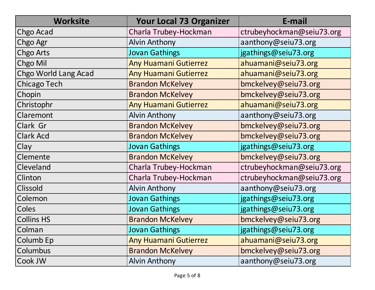| <b>Worksite</b>      | <b>Your Local 73 Organizer</b> | E-mail                    |
|----------------------|--------------------------------|---------------------------|
| Chgo Acad            | Charla Trubey-Hockman          | ctrubeyhockman@seiu73.org |
| Chgo Agr             | <b>Alvin Anthony</b>           | aanthony@seiu73.org       |
| Chgo Arts            | <b>Jovan Gathings</b>          | jgathings@seiu73.org      |
| Chgo Mil             | <b>Any Huamani Gutierrez</b>   | ahuamani@seiu73.org       |
| Chgo World Lang Acad | <b>Any Huamani Gutierrez</b>   | ahuamani@seiu73.org       |
| <b>Chicago Tech</b>  | <b>Brandon McKelvey</b>        | bmckelvey@seiu73.org      |
| Chopin               | <b>Brandon McKelvey</b>        | bmckelvey@seiu73.org      |
| Christophr           | <b>Any Huamani Gutierrez</b>   | ahuamani@seiu73.org       |
| Claremont            | <b>Alvin Anthony</b>           | aanthony@seiu73.org       |
| Clark Gr             | <b>Brandon McKelvey</b>        | bmckelvey@seiu73.org      |
| <b>Clark Acd</b>     | <b>Brandon McKelvey</b>        | bmckelvey@seiu73.org      |
| Clay                 | <b>Jovan Gathings</b>          | jgathings@seiu73.org      |
| Clemente             | <b>Brandon McKelvey</b>        | bmckelvey@seiu73.org      |
| Cleveland            | Charla Trubey-Hockman          | ctrubeyhockman@seiu73.org |
| Clinton              | Charla Trubey-Hockman          | ctrubeyhockman@seiu73.org |
| <b>Clissold</b>      | <b>Alvin Anthony</b>           | aanthony@seiu73.org       |
| Colemon              | <b>Jovan Gathings</b>          | jgathings@seiu73.org      |
| Coles                | <b>Jovan Gathings</b>          | jgathings@seiu73.org      |
| <b>Collins HS</b>    | <b>Brandon McKelvey</b>        | bmckelvey@seiu73.org      |
| Colman               | <b>Jovan Gathings</b>          | jgathings@seiu73.org      |
| Columb Ep            | Any Huamani Gutierrez          | ahuamani@seiu73.org       |
| Columbus             | <b>Brandon McKelvey</b>        | bmckelvey@seiu73.org      |
| Cook JW              | <b>Alvin Anthony</b>           | aanthony@seiu73.org       |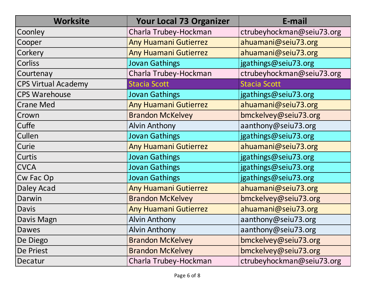| <b>Worksite</b>            | <b>Your Local 73 Organizer</b> | E-mail                    |
|----------------------------|--------------------------------|---------------------------|
| Coonley                    | Charla Trubey-Hockman          | ctrubeyhockman@seiu73.org |
| Cooper                     | <b>Any Huamani Gutierrez</b>   | ahuamani@seiu73.org       |
| Corkery                    | <b>Any Huamani Gutierrez</b>   | ahuamani@seiu73.org       |
| Corliss                    | <b>Jovan Gathings</b>          | jgathings@seiu73.org      |
| Courtenay                  | Charla Trubey-Hockman          | ctrubeyhockman@seiu73.org |
| <b>CPS Virtual Academy</b> | <b>Stacia Scott</b>            | <b>Stacia Scott</b>       |
| <b>CPS Warehouse</b>       | <b>Jovan Gathings</b>          | jgathings@seiu73.org      |
| <b>Crane Med</b>           | <b>Any Huamani Gutierrez</b>   | ahuamani@seiu73.org       |
| Crown                      | <b>Brandon McKelvey</b>        | bmckelvey@seiu73.org      |
| Cuffe                      | <b>Alvin Anthony</b>           | aanthony@seiu73.org       |
| Cullen                     | <b>Jovan Gathings</b>          | jgathings@seiu73.org      |
| Curie                      | <b>Any Huamani Gutierrez</b>   | ahuamani@seiu73.org       |
| Curtis                     | <b>Jovan Gathings</b>          | jgathings@seiu73.org      |
| <b>CVCA</b>                | <b>Jovan Gathings</b>          | jgathings@seiu73.org      |
| Cw Fac Op                  | <b>Jovan Gathings</b>          | jgathings@seiu73.org      |
| Daley Acad                 | <b>Any Huamani Gutierrez</b>   | ahuamani@seiu73.org       |
| Darwin                     | <b>Brandon McKelvey</b>        | bmckelvey@seiu73.org      |
| Davis                      | <b>Any Huamani Gutierrez</b>   | ahuamani@seiu73.org       |
| Davis Magn                 | <b>Alvin Anthony</b>           | aanthony@seiu73.org       |
| Dawes                      | <b>Alvin Anthony</b>           | aanthony@seiu73.org       |
| De Diego                   | <b>Brandon McKelvey</b>        | bmckelvey@seiu73.org      |
| De Priest                  | <b>Brandon McKelvey</b>        | bmckelvey@seiu73.org      |
| Decatur                    | Charla Trubey-Hockman          | ctrubeyhockman@seiu73.org |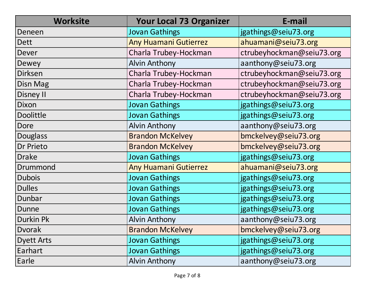| <b>Worksite</b>   | <b>Your Local 73 Organizer</b> | E-mail                    |
|-------------------|--------------------------------|---------------------------|
| Deneen            | <b>Jovan Gathings</b>          | jgathings@seiu73.org      |
| Dett              | <b>Any Huamani Gutierrez</b>   | ahuamani@seiu73.org       |
| Dever             | Charla Trubey-Hockman          | ctrubeyhockman@seiu73.org |
| Dewey             | <b>Alvin Anthony</b>           | aanthony@seiu73.org       |
| <b>Dirksen</b>    | Charla Trubey-Hockman          | ctrubeyhockman@seiu73.org |
| Disn Mag          | Charla Trubey-Hockman          | ctrubeyhockman@seiu73.org |
| <b>Disney II</b>  | Charla Trubey-Hockman          | ctrubeyhockman@seiu73.org |
| Dixon             | <b>Jovan Gathings</b>          | jgathings@seiu73.org      |
| <b>Doolittle</b>  | <b>Jovan Gathings</b>          | jgathings@seiu73.org      |
| <b>Dore</b>       | <b>Alvin Anthony</b>           | aanthony@seiu73.org       |
| <b>Douglass</b>   | <b>Brandon McKelvey</b>        | bmckelvey@seiu73.org      |
| Dr Prieto         | <b>Brandon McKelvey</b>        | bmckelvey@seiu73.org      |
| <b>Drake</b>      | <b>Jovan Gathings</b>          | jgathings@seiu73.org      |
| Drummond          | <b>Any Huamani Gutierrez</b>   | ahuamani@seiu73.org       |
| <b>Dubois</b>     | <b>Jovan Gathings</b>          | jgathings@seiu73.org      |
| <b>Dulles</b>     | <b>Jovan Gathings</b>          | jgathings@seiu73.org      |
| Dunbar            | <b>Jovan Gathings</b>          | jgathings@seiu73.org      |
| Dunne             | <b>Jovan Gathings</b>          | jgathings@seiu73.org      |
| <b>Durkin Pk</b>  | <b>Alvin Anthony</b>           | aanthony@seiu73.org       |
| <b>Dvorak</b>     | <b>Brandon McKelvey</b>        | bmckelvey@seiu73.org      |
| <b>Dyett Arts</b> | <b>Jovan Gathings</b>          | jgathings@seiu73.org      |
| Earhart           | <b>Jovan Gathings</b>          | jgathings@seiu73.org      |
| Earle             | <b>Alvin Anthony</b>           | aanthony@seiu73.org       |